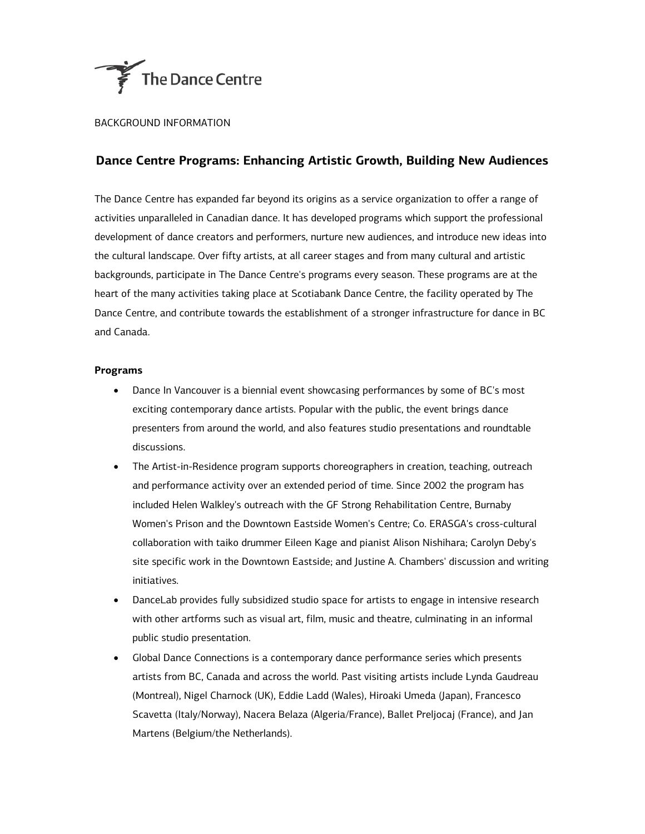

## BACKGROUND INFORMATION

## **Dance Centre Programs: Enhancing Artistic Growth, Building New Audiences**

The Dance Centre has expanded far beyond its origins as a service organization to offer a range of activities unparalleled in Canadian dance. It has developed programs which support the professional development of dance creators and performers, nurture new audiences, and introduce new ideas into the cultural landscape. Over fifty artists, at all career stages and from many cultural and artistic backgrounds, participate in The Dance Centre's programs every season. These programs are at the heart of the many activities taking place at Scotiabank Dance Centre, the facility operated by The Dance Centre, and contribute towards the establishment of a stronger infrastructure for dance in BC and Canada.

## **Programs**

- Dance In Vancouver is a biennial event showcasing performances by some of BC's most exciting contemporary dance artists. Popular with the public, the event brings dance presenters from around the world, and also features studio presentations and roundtable discussions.
- The Artist-in-Residence program supports choreographers in creation, teaching, outreach and performance activity over an extended period of time. Since 2002 the program has included Helen Walkley's outreach with the GF Strong Rehabilitation Centre, Burnaby Women's Prison and the Downtown Eastside Women's Centre; Co. ERASGA's cross-cultural collaboration with taiko drummer Eileen Kage and pianist Alison Nishihara; Carolyn Deby's site specific work in the Downtown Eastside; and Justine A. Chambers' discussion and writing initiatives.
- DanceLab provides fully subsidized studio space for artists to engage in intensive research with other artforms such as visual art, film, music and theatre, culminating in an informal public studio presentation.
- Global Dance Connections is a contemporary dance performance series which presents artists from BC, Canada and across the world. Past visiting artists include Lynda Gaudreau (Montreal), Nigel Charnock (UK), Eddie Ladd (Wales), Hiroaki Umeda (Japan), Francesco Scavetta (Italy/Norway), Nacera Belaza (Algeria/France), Ballet Preljocaj (France), and Jan Martens (Belgium/the Netherlands).